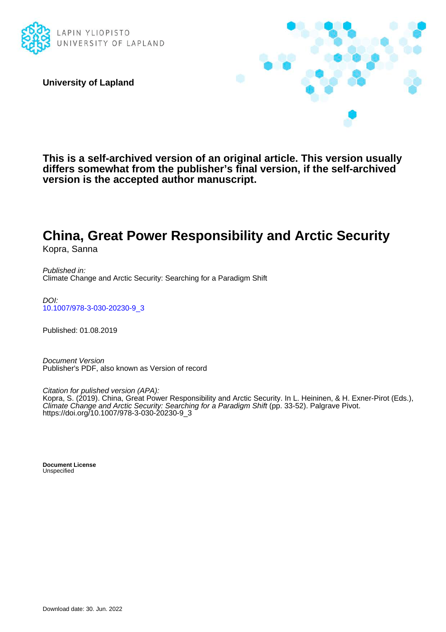

**University of Lapland**



**This is a self-archived version of an original article. This version usually differs somewhat from the publisher's final version, if the self-archived version is the accepted author manuscript.**

# **China, Great Power Responsibility and Arctic Security**

Kopra, Sanna

Published in: Climate Change and Arctic Security: Searching for a Paradigm Shift

DOI: [10.1007/978-3-030-20230-9\\_3](https://doi.org/10.1007/978-3-030-20230-9_3)

Published: 01.08.2019

Document Version Publisher's PDF, also known as Version of record

Citation for pulished version (APA):

Kopra, S. (2019). China, Great Power Responsibility and Arctic Security. In L. Heininen, & H. Exner-Pirot (Eds.), Climate Change and Arctic Security: Searching for a Paradigm Shift (pp. 33-52). Palgrave Pivot. [https://doi.org/10.1007/978-3-030-20230-9\\_3](https://doi.org/10.1007/978-3-030-20230-9_3)

**Document License** Unspecified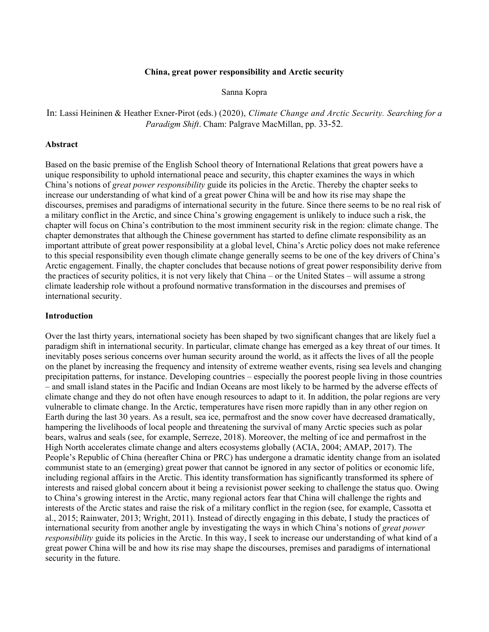#### **China, great power responsibility and Arctic security**

Sanna Kopra

In: Lassi Heininen & Heather Exner-Pirot (eds.) (2020), *Climate Change and Arctic Security. Searching for a Paradigm Shift*. Cham: Palgrave MacMillan, pp. 33-52.

#### **Abstract**

Based on the basic premise of the English School theory of International Relations that great powers have a unique responsibility to uphold international peace and security, this chapter examines the ways in which China's notions of *great power responsibility* guide its policies in the Arctic. Thereby the chapter seeks to increase our understanding of what kind of a great power China will be and how its rise may shape the discourses, premises and paradigms of international security in the future. Since there seems to be no real risk of a military conflict in the Arctic, and since China's growing engagement is unlikely to induce such a risk, the chapter will focus on China's contribution to the most imminent security risk in the region: climate change. The chapter demonstrates that although the Chinese government has started to define climate responsibility as an important attribute of great power responsibility at a global level, China's Arctic policy does not make reference to this special responsibility even though climate change generally seems to be one of the key drivers of China's Arctic engagement. Finally, the chapter concludes that because notions of great power responsibility derive from the practices of security politics, it is not very likely that China – or the United States – will assume a strong climate leadership role without a profound normative transformation in the discourses and premises of international security.

#### **Introduction**

Over the last thirty years, international society has been shaped by two significant changes that are likely fuel a paradigm shift in international security. In particular, climate change has emerged as a key threat of our times. It inevitably poses serious concerns over human security around the world, as it affects the lives of all the people on the planet by increasing the frequency and intensity of extreme weather events, rising sea levels and changing precipitation patterns, for instance. Developing countries – especially the poorest people living in those countries – and small island states in the Pacific and Indian Oceans are most likely to be harmed by the adverse effects of climate change and they do not often have enough resources to adapt to it. In addition, the polar regions are very vulnerable to climate change. In the Arctic, temperatures have risen more rapidly than in any other region on Earth during the last 30 years. As a result, sea ice, permafrost and the snow cover have decreased dramatically, hampering the livelihoods of local people and threatening the survival of many Arctic species such as polar bears, walrus and seals (see, for example, Serreze, 2018). Moreover, the melting of ice and permafrost in the High North accelerates climate change and alters ecosystems globally (ACIA, 2004; AMAP, 2017). The People's Republic of China (hereafter China or PRC) has undergone a dramatic identity change from an isolated communist state to an (emerging) great power that cannot be ignored in any sector of politics or economic life, including regional affairs in the Arctic. This identity transformation has significantly transformed its sphere of interests and raised global concern about it being a revisionist power seeking to challenge the status quo. Owing to China's growing interest in the Arctic, many regional actors fear that China will challenge the rights and interests of the Arctic states and raise the risk of a military conflict in the region (see, for example, Cassotta et al., 2015; Rainwater, 2013; Wright, 2011). Instead of directly engaging in this debate, I study the practices of international security from another angle by investigating the ways in which China's notions of *great power responsibility* guide its policies in the Arctic. In this way, I seek to increase our understanding of what kind of a great power China will be and how its rise may shape the discourses, premises and paradigms of international security in the future.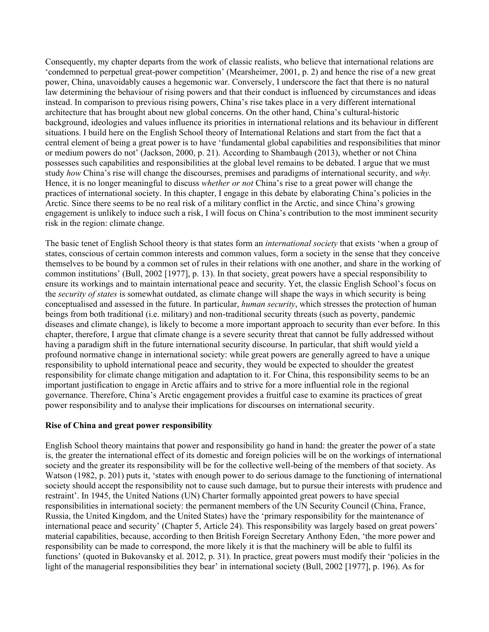Consequently, my chapter departs from the work of classic realists, who believe that international relations are 'condemned to perpetual great-power competition' (Mearsheimer, 2001, p. 2) and hence the rise of a new great power, China, unavoidably causes a hegemonic war. Conversely, I underscore the fact that there is no natural law determining the behaviour of rising powers and that their conduct is influenced by circumstances and ideas instead. In comparison to previous rising powers, China's rise takes place in a very different international architecture that has brought about new global concerns. On the other hand, China's cultural-historic background, ideologies and values influence its priorities in international relations and its behaviour in different situations. I build here on the English School theory of International Relations and start from the fact that a central element of being a great power is to have 'fundamental global capabilities and responsibilities that minor or medium powers do not' (Jackson, 2000, p. 21). According to Shambaugh (2013), whether or not China possesses such capabilities and responsibilities at the global level remains to be debated. I argue that we must study *how* China's rise will change the discourses, premises and paradigms of international security, and *why.*  Hence, it is no longer meaningful to discuss *whether or not* China's rise to a great power will change the practices of international society. In this chapter, I engage in this debate by elaborating China's policies in the Arctic. Since there seems to be no real risk of a military conflict in the Arctic, and since China's growing engagement is unlikely to induce such a risk, I will focus on China's contribution to the most imminent security risk in the region: climate change.

The basic tenet of English School theory is that states form an *international society* that exists 'when a group of states, conscious of certain common interests and common values, form a society in the sense that they conceive themselves to be bound by a common set of rules in their relations with one another, and share in the working of common institutions' (Bull, 2002 [1977], p. 13). In that society, great powers have a special responsibility to ensure its workings and to maintain international peace and security. Yet, the classic English School's focus on the *security of states* is somewhat outdated, as climate change will shape the ways in which security is being conceptualised and assessed in the future. In particular, *human security*, which stresses the protection of human beings from both traditional (i.e. military) and non-traditional security threats (such as poverty, pandemic diseases and climate change), is likely to become a more important approach to security than ever before. In this chapter, therefore, I argue that climate change is a severe security threat that cannot be fully addressed without having a paradigm shift in the future international security discourse. In particular, that shift would yield a profound normative change in international society: while great powers are generally agreed to have a unique responsibility to uphold international peace and security, they would be expected to shoulder the greatest responsibility for climate change mitigation and adaptation to it. For China, this responsibility seems to be an important justification to engage in Arctic affairs and to strive for a more influential role in the regional governance. Therefore, China's Arctic engagement provides a fruitful case to examine its practices of great power responsibility and to analyse their implications for discourses on international security.

## **Rise of China and great power responsibility**

English School theory maintains that power and responsibility go hand in hand: the greater the power of a state is, the greater the international effect of its domestic and foreign policies will be on the workings of international society and the greater its responsibility will be for the collective well-being of the members of that society. As Watson (1982, p. 201) puts it, 'states with enough power to do serious damage to the functioning of international society should accept the responsibility not to cause such damage, but to pursue their interests with prudence and restraint'. In 1945, the United Nations (UN) Charter formally appointed great powers to have special responsibilities in international society: the permanent members of the UN Security Council (China, France, Russia, the United Kingdom, and the United States) have the 'primary responsibility for the maintenance of international peace and security' (Chapter 5, Article 24). This responsibility was largely based on great powers' material capabilities, because, according to then British Foreign Secretary Anthony Eden, 'the more power and responsibility can be made to correspond, the more likely it is that the machinery will be able to fulfil its functions' (quoted in Bukovansky et al. 2012, p. 31). In practice, great powers must modify their 'policies in the light of the managerial responsibilities they bear' in international society (Bull, 2002 [1977], p. 196). As for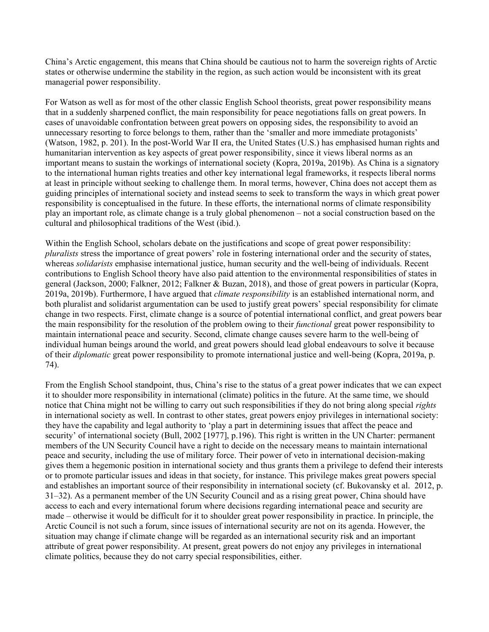China's Arctic engagement, this means that China should be cautious not to harm the sovereign rights of Arctic states or otherwise undermine the stability in the region, as such action would be inconsistent with its great managerial power responsibility.

For Watson as well as for most of the other classic English School theorists, great power responsibility means that in a suddenly sharpened conflict, the main responsibility for peace negotiations falls on great powers. In cases of unavoidable confrontation between great powers on opposing sides, the responsibility to avoid an unnecessary resorting to force belongs to them, rather than the 'smaller and more immediate protagonists' (Watson, 1982, p. 201). In the post-World War II era, the United States (U.S.) has emphasised human rights and humanitarian intervention as key aspects of great power responsibility, since it views liberal norms as an important means to sustain the workings of international society (Kopra, 2019a, 2019b). As China is a signatory to the international human rights treaties and other key international legal frameworks, it respects liberal norms at least in principle without seeking to challenge them. In moral terms, however, China does not accept them as guiding principles of international society and instead seems to seek to transform the ways in which great power responsibility is conceptualised in the future. In these efforts, the international norms of climate responsibility play an important role, as climate change is a truly global phenomenon – not a social construction based on the cultural and philosophical traditions of the West (ibid.).

Within the English School, scholars debate on the justifications and scope of great power responsibility: *pluralists* stress the importance of great powers' role in fostering international order and the security of states, whereas *solidarists* emphasise international justice, human security and the well-being of individuals. Recent contributions to English School theory have also paid attention to the environmental responsibilities of states in general (Jackson, 2000; Falkner, 2012; Falkner & Buzan, 2018), and those of great powers in particular (Kopra, 2019a, 2019b). Furthermore, I have argued that *climate responsibility* is an established international norm, and both pluralist and solidarist argumentation can be used to justify great powers' special responsibility for climate change in two respects. First, climate change is a source of potential international conflict, and great powers bear the main responsibility for the resolution of the problem owing to their *functional* great power responsibility to maintain international peace and security. Second, climate change causes severe harm to the well-being of individual human beings around the world, and great powers should lead global endeavours to solve it because of their *diplomatic* great power responsibility to promote international justice and well-being (Kopra, 2019a, p. 74).

From the English School standpoint, thus, China's rise to the status of a great power indicates that we can expect it to shoulder more responsibility in international (climate) politics in the future. At the same time, we should notice that China might not be willing to carry out such responsibilities if they do not bring along special *rights* in international society as well. In contrast to other states, great powers enjoy privileges in international society: they have the capability and legal authority to 'play a part in determining issues that affect the peace and security' of international society (Bull, 2002 [1977], p.196). This right is written in the UN Charter: permanent members of the UN Security Council have a right to decide on the necessary means to maintain international peace and security, including the use of military force. Their power of veto in international decision-making gives them a hegemonic position in international society and thus grants them a privilege to defend their interests or to promote particular issues and ideas in that society, for instance. This privilege makes great powers special and establishes an important source of their responsibility in international society (cf. Bukovansky et al. 2012, p. 31–32). As a permanent member of the UN Security Council and as a rising great power, China should have access to each and every international forum where decisions regarding international peace and security are made – otherwise it would be difficult for it to shoulder great power responsibility in practice. In principle, the Arctic Council is not such a forum, since issues of international security are not on its agenda. However, the situation may change if climate change will be regarded as an international security risk and an important attribute of great power responsibility. At present, great powers do not enjoy any privileges in international climate politics, because they do not carry special responsibilities, either.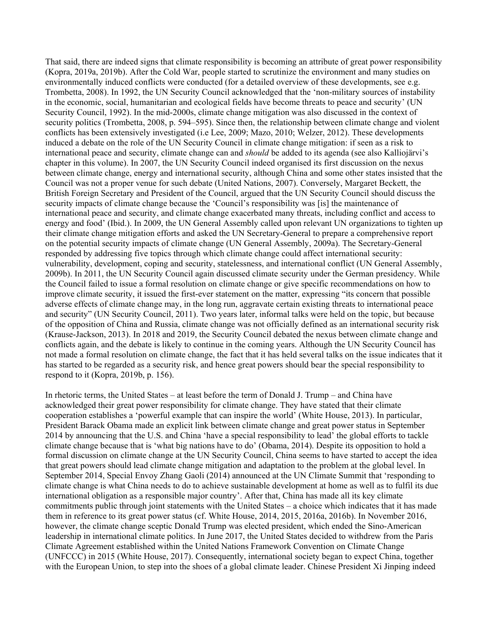That said, there are indeed signs that climate responsibility is becoming an attribute of great power responsibility (Kopra, 2019a, 2019b). After the Cold War, people started to scrutinize the environment and many studies on environmentally induced conflicts were conducted (for a detailed overview of these developments, see e.g. Trombetta, 2008). In 1992, the UN Security Council acknowledged that the 'non-military sources of instability in the economic, social, humanitarian and ecological fields have become threats to peace and security' (UN Security Council, 1992). In the mid-2000s, climate change mitigation was also discussed in the context of security politics (Trombetta, 2008, p. 594–595). Since then, the relationship between climate change and violent conflicts has been extensively investigated (i.e Lee, 2009; Mazo, 2010; Welzer, 2012). These developments induced a debate on the role of the UN Security Council in climate change mitigation: if seen as a risk to international peace and security, climate change can and *should* be added to its agenda (see also Kalliojärvi's chapter in this volume). In 2007, the UN Security Council indeed organised its first discussion on the nexus between climate change, energy and international security, although China and some other states insisted that the Council was not a proper venue for such debate (United Nations, 2007). Conversely, Margaret Beckett, the British Foreign Secretary and President of the Council, argued that the UN Security Council should discuss the security impacts of climate change because the 'Council's responsibility was [is] the maintenance of international peace and security, and climate change exacerbated many threats, including conflict and access to energy and food' (Ibid.). In 2009, the UN General Assembly called upon relevant UN organizations to tighten up their climate change mitigation efforts and asked the UN Secretary-General to prepare a comprehensive report on the potential security impacts of climate change (UN General Assembly, 2009a). The Secretary-General responded by addressing five topics through which climate change could affect international security: vulnerability, development, coping and security, statelessness, and international conflict (UN General Assembly, 2009b). In 2011, the UN Security Council again discussed climate security under the German presidency. While the Council failed to issue a formal resolution on climate change or give specific recommendations on how to improve climate security, it issued the first-ever statement on the matter, expressing "its concern that possible adverse effects of climate change may, in the long run, aggravate certain existing threats to international peace and security" (UN Security Council, 2011). Two years later, informal talks were held on the topic, but because of the opposition of China and Russia, climate change was not officially defined as an international security risk (Krause-Jackson, 2013). In 2018 and 2019, the Security Council debated the nexus between climate change and conflicts again, and the debate is likely to continue in the coming years. Although the UN Security Council has not made a formal resolution on climate change, the fact that it has held several talks on the issue indicates that it has started to be regarded as a security risk, and hence great powers should bear the special responsibility to respond to it (Kopra, 2019b, p. 156).

In rhetoric terms, the United States – at least before the term of Donald J. Trump – and China have acknowledged their great power responsibility for climate change. They have stated that their climate cooperation establishes a 'powerful example that can inspire the world' (White House, 2013). In particular, President Barack Obama made an explicit link between climate change and great power status in September 2014 by announcing that the U.S. and China 'have a special responsibility to lead' the global efforts to tackle climate change because that is 'what big nations have to do' (Obama, 2014). Despite its opposition to hold a formal discussion on climate change at the UN Security Council, China seems to have started to accept the idea that great powers should lead climate change mitigation and adaptation to the problem at the global level. In September 2014, Special Envoy Zhang Gaoli (2014) announced at the UN Climate Summit that 'responding to climate change is what China needs to do to achieve sustainable development at home as well as to fulfil its due international obligation as a responsible major country'. After that, China has made all its key climate commitments public through joint statements with the United States – a choice which indicates that it has made them in reference to its great power status (cf. White House, 2014, 2015, 2016a, 2016b). In November 2016, however, the climate change sceptic Donald Trump was elected president, which ended the Sino-American leadership in international climate politics. In June 2017, the United States decided to withdrew from the Paris Climate Agreement established within the United Nations Framework Convention on Climate Change (UNFCCC) in 2015 (White House, 2017). Consequently, international society began to expect China, together with the European Union, to step into the shoes of a global climate leader. Chinese President Xi Jinping indeed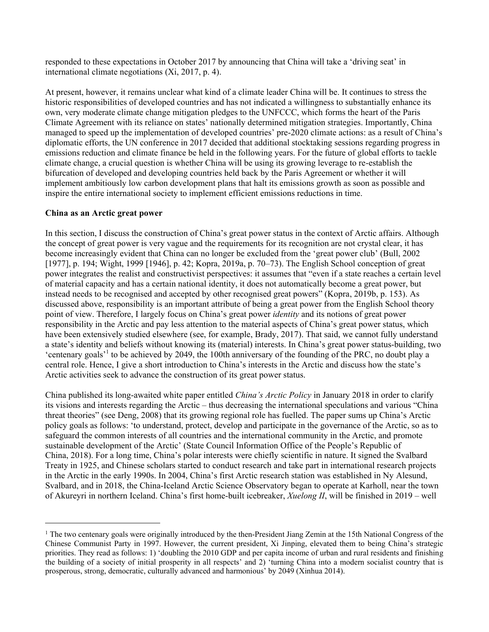responded to these expectations in October 2017 by announcing that China will take a 'driving seat' in international climate negotiations (Xi, 2017, p. 4).

At present, however, it remains unclear what kind of a climate leader China will be. It continues to stress the historic responsibilities of developed countries and has not indicated a willingness to substantially enhance its own, very moderate climate change mitigation pledges to the UNFCCC, which forms the heart of the Paris Climate Agreement with its reliance on states' nationally determined mitigation strategies. Importantly, China managed to speed up the implementation of developed countries' pre-2020 climate actions: as a result of China's diplomatic efforts, the UN conference in 2017 decided that additional stocktaking sessions regarding progress in emissions reduction and climate finance be held in the following years. For the future of global efforts to tackle climate change, a crucial question is whether China will be using its growing leverage to re-establish the bifurcation of developed and developing countries held back by the Paris Agreement or whether it will implement ambitiously low carbon development plans that halt its emissions growth as soon as possible and inspire the entire international society to implement efficient emissions reductions in time.

## **China as an Arctic great power**

 $\overline{a}$ 

In this section, I discuss the construction of China's great power status in the context of Arctic affairs. Although the concept of great power is very vague and the requirements for its recognition are not crystal clear, it has become increasingly evident that China can no longer be excluded from the 'great power club' (Bull, 2002 [1977], p. 194; Wight, 1999 [1946], p. 42; Kopra, 2019a, p. 70–73). The English School conception of great power integrates the realist and constructivist perspectives: it assumes that "even if a state reaches a certain level of material capacity and has a certain national identity, it does not automatically become a great power, but instead needs to be recognised and accepted by other recognised great powers" (Kopra, 2019b, p. 153). As discussed above, responsibility is an important attribute of being a great power from the English School theory point of view. Therefore, I largely focus on China's great power *identity* and its notions of great power responsibility in the Arctic and pay less attention to the material aspects of China's great power status, which have been extensively studied elsewhere (see, for example, Brady, 2017). That said, we cannot fully understand a state's identity and beliefs without knowing its (material) interests. In China's great power status-building, two 'centenary goals' 1 to be achieved by 2049, the 100th anniversary of the founding of the PRC, no doubt play a central role. Hence, I give a short introduction to China's interests in the Arctic and discuss how the state's Arctic activities seek to advance the construction of its great power status.

China published its long-awaited white paper entitled *China's Arctic Policy* in January 2018 in order to clarify its visions and interests regarding the Arctic – thus decreasing the international speculations and various "China threat theories" (see Deng, 2008) that its growing regional role has fuelled. The paper sums up China's Arctic policy goals as follows: 'to understand, protect, develop and participate in the governance of the Arctic, so as to safeguard the common interests of all countries and the international community in the Arctic, and promote sustainable development of the Arctic' (State Council Information Office of the People's Republic of China, 2018). For a long time, China's polar interests were chiefly scientific in nature. It signed the Svalbard Treaty in 1925, and Chinese scholars started to conduct research and take part in international research projects in the Arctic in the early 1990s. In 2004, China's first Arctic research station was established in Ny Alesund, Svalbard, and in 2018, the China-Iceland Arctic Science Observatory began to operate at Karholl, near the town of Akureyri in northern Iceland. China's first home-built icebreaker, *Xuelong II*, will be finished in 2019 – well

<sup>&</sup>lt;sup>1</sup> The two centenary goals were originally introduced by the then-President Jiang Zemin at the 15th National Congress of the Chinese Communist Party in 1997. However, the current president, Xi Jinping, elevated them to being China's strategic priorities. They read as follows: 1) 'doubling the 2010 GDP and per capita income of urban and rural residents and finishing the building of a society of initial prosperity in all respects' and 2) 'turning China into a modern socialist country that is prosperous, strong, democratic, culturally advanced and harmonious' by 2049 (Xinhua 2014).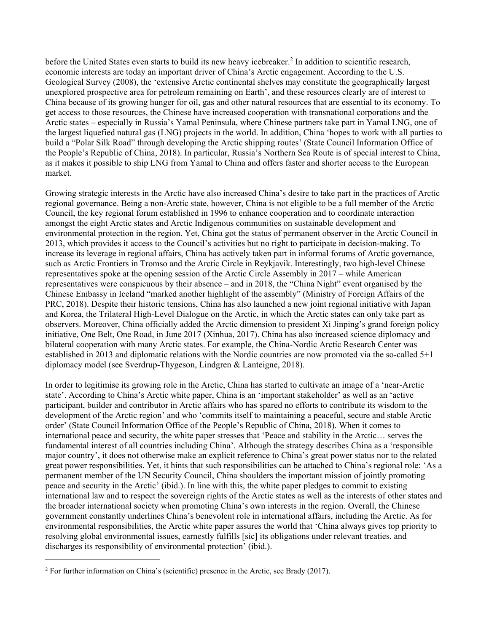before the United States even starts to build its new heavy icebreaker.<sup>2</sup> In addition to scientific research, economic interests are today an important driver of China's Arctic engagement. According to the U.S. Geological Survey (2008), the 'extensive Arctic continental shelves may constitute the geographically largest unexplored prospective area for petroleum remaining on Earth', and these resources clearly are of interest to China because of its growing hunger for oil, gas and other natural resources that are essential to its economy. To get access to those resources, the Chinese have increased cooperation with transnational corporations and the Arctic states – especially in Russia's Yamal Peninsula, where Chinese partners take part in Yamal LNG, one of the largest liquefied natural gas (LNG) projects in the world. In addition, China 'hopes to work with all parties to build a "Polar Silk Road" through developing the Arctic shipping routes' (State Council Information Office of the People's Republic of China, 2018). In particular, Russia's Northern Sea Route is of special interest to China, as it makes it possible to ship LNG from Yamal to China and offers faster and shorter access to the European market.

Growing strategic interests in the Arctic have also increased China's desire to take part in the practices of Arctic regional governance. Being a non-Arctic state, however, China is not eligible to be a full member of the Arctic Council, the key regional forum established in 1996 to enhance cooperation and to coordinate interaction amongst the eight Arctic states and Arctic Indigenous communities on sustainable development and environmental protection in the region. Yet, China got the status of permanent observer in the Arctic Council in 2013, which provides it access to the Council's activities but no right to participate in decision-making. To increase its leverage in regional affairs, China has actively taken part in informal forums of Arctic governance, such as Arctic Frontiers in Tromso and the Arctic Circle in Reykjavik. Interestingly, two high-level Chinese representatives spoke at the opening session of the Arctic Circle Assembly in 2017 – while American representatives were conspicuous by their absence – and in 2018, the "China Night" event organised by the Chinese Embassy in Iceland "marked another highlight of the assembly" (Ministry of Foreign Affairs of the PRC, 2018). Despite their historic tensions, China has also launched a new joint regional initiative with Japan and Korea, the Trilateral High-Level Dialogue on the Arctic, in which the Arctic states can only take part as observers. Moreover, China officially added the Arctic dimension to president Xi Jinping's grand foreign policy initiative, One Belt, One Road, in June 2017 (Xinhua, 2017). China has also increased science diplomacy and bilateral cooperation with many Arctic states. For example, the China-Nordic Arctic Research Center was established in 2013 and diplomatic relations with the Nordic countries are now promoted via the so-called 5+1 diplomacy model (see Sverdrup-Thygeson, Lindgren & Lanteigne, 2018).

In order to legitimise its growing role in the Arctic, China has started to cultivate an image of a 'near-Arctic state'. According to China's Arctic white paper, China is an 'important stakeholder' as well as an 'active participant, builder and contributor in Arctic affairs who has spared no efforts to contribute its wisdom to the development of the Arctic region' and who 'commits itself to maintaining a peaceful, secure and stable Arctic order' (State Council Information Office of the People's Republic of China, 2018). When it comes to international peace and security, the white paper stresses that 'Peace and stability in the Arctic… serves the fundamental interest of all countries including China'. Although the strategy describes China as a 'responsible major country', it does not otherwise make an explicit reference to China's great power status nor to the related great power responsibilities. Yet, it hints that such responsibilities can be attached to China's regional role: 'As a permanent member of the UN Security Council, China shoulders the important mission of jointly promoting peace and security in the Arctic' (ibid.). In line with this, the white paper pledges to commit to existing international law and to respect the sovereign rights of the Arctic states as well as the interests of other states and the broader international society when promoting China's own interests in the region. Overall, the Chinese government constantly underlines China's benevolent role in international affairs, including the Arctic. As for environmental responsibilities, the Arctic white paper assures the world that 'China always gives top priority to resolving global environmental issues, earnestly fulfills [sic] its obligations under relevant treaties, and discharges its responsibility of environmental protection' (ibid.).

 $\overline{a}$ 

<sup>2</sup> For further information on China's (scientific) presence in the Arctic, see Brady (2017).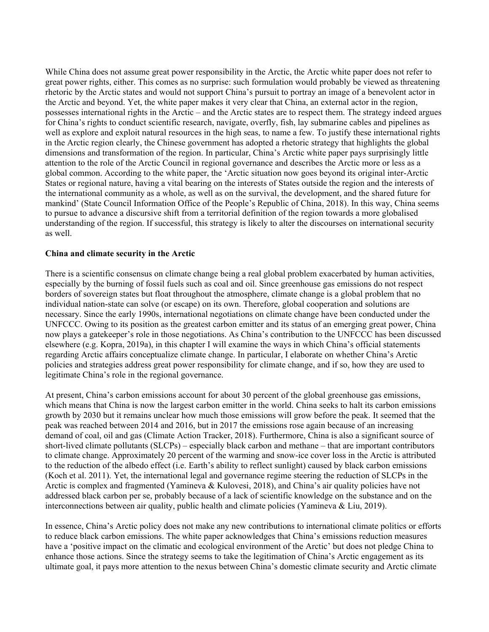While China does not assume great power responsibility in the Arctic, the Arctic white paper does not refer to great power rights, either. This comes as no surprise: such formulation would probably be viewed as threatening rhetoric by the Arctic states and would not support China's pursuit to portray an image of a benevolent actor in the Arctic and beyond. Yet, the white paper makes it very clear that China, an external actor in the region, possesses international rights in the Arctic – and the Arctic states are to respect them. The strategy indeed argues for China's rights to conduct scientific research, navigate, overfly, fish, lay submarine cables and pipelines as well as explore and exploit natural resources in the high seas, to name a few. To justify these international rights in the Arctic region clearly, the Chinese government has adopted a rhetoric strategy that highlights the global dimensions and transformation of the region. In particular, China's Arctic white paper pays surprisingly little attention to the role of the Arctic Council in regional governance and describes the Arctic more or less as a global common. According to the white paper, the 'Arctic situation now goes beyond its original inter-Arctic States or regional nature, having a vital bearing on the interests of States outside the region and the interests of the international community as a whole, as well as on the survival, the development, and the shared future for mankind' (State Council Information Office of the People's Republic of China, 2018). In this way, China seems to pursue to advance a discursive shift from a territorial definition of the region towards a more globalised understanding of the region. If successful, this strategy is likely to alter the discourses on international security as well.

#### **China and climate security in the Arctic**

There is a scientific consensus on climate change being a real global problem exacerbated by human activities, especially by the burning of fossil fuels such as coal and oil. Since greenhouse gas emissions do not respect borders of sovereign states but float throughout the atmosphere, climate change is a global problem that no individual nation-state can solve (or escape) on its own. Therefore, global cooperation and solutions are necessary. Since the early 1990s, international negotiations on climate change have been conducted under the UNFCCC. Owing to its position as the greatest carbon emitter and its status of an emerging great power, China now plays a gatekeeper's role in those negotiations. As China's contribution to the UNFCCC has been discussed elsewhere (e.g. Kopra, 2019a), in this chapter I will examine the ways in which China's official statements regarding Arctic affairs conceptualize climate change. In particular, I elaborate on whether China's Arctic policies and strategies address great power responsibility for climate change, and if so, how they are used to legitimate China's role in the regional governance.

At present, China's carbon emissions account for about 30 percent of the global greenhouse gas emissions, which means that China is now the largest carbon emitter in the world. China seeks to halt its carbon emissions growth by 2030 but it remains unclear how much those emissions will grow before the peak. It seemed that the peak was reached between 2014 and 2016, but in 2017 the emissions rose again because of an increasing demand of coal, oil and gas (Climate Action Tracker, 2018). Furthermore, China is also a significant source of short-lived climate pollutants (SLCPs) – especially black carbon and methane – that are important contributors to climate change. Approximately 20 percent of the warming and snow-ice cover loss in the Arctic is attributed to the reduction of the albedo effect (i.e. Earth's ability to reflect sunlight) caused by black carbon emissions (Koch et al. 2011). Yet, the international legal and governance regime steering the reduction of SLCPs in the Arctic is complex and fragmented (Yamineva & Kulovesi, 2018), and China's air quality policies have not addressed black carbon per se, probably because of a lack of scientific knowledge on the substance and on the interconnections between air quality, public health and climate policies (Yamineva & Liu, 2019).

In essence, China's Arctic policy does not make any new contributions to international climate politics or efforts to reduce black carbon emissions. The white paper acknowledges that China's emissions reduction measures have a 'positive impact on the climatic and ecological environment of the Arctic' but does not pledge China to enhance those actions. Since the strategy seems to take the legitimation of China's Arctic engagement as its ultimate goal, it pays more attention to the nexus between China's domestic climate security and Arctic climate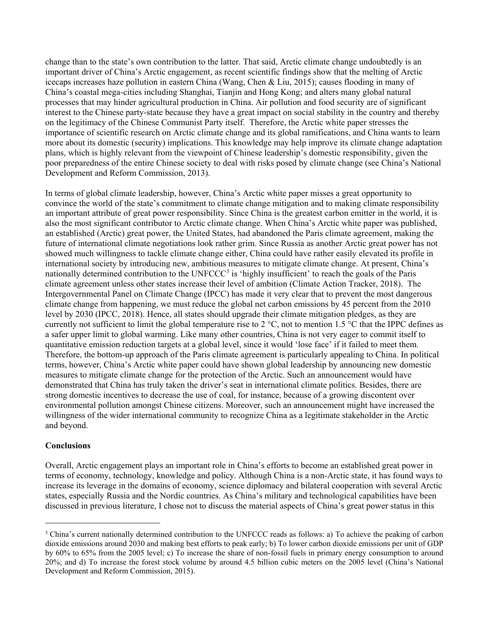change than to the state's own contribution to the latter. That said, Arctic climate change undoubtedly is an important driver of China's Arctic engagement, as recent scientific findings show that the melting of Arctic icecaps increases haze pollution in eastern China (Wang, Chen & Liu, 2015); causes flooding in many of China's coastal mega-cities including Shanghai, Tianjin and Hong Kong; and alters many global natural processes that may hinder agricultural production in China. Air pollution and food security are of significant interest to the Chinese party-state because they have a great impact on social stability in the country and thereby on the legitimacy of the Chinese Communist Party itself. Therefore, the Arctic white paper stresses the importance of scientific research on Arctic climate change and its global ramifications, and China wants to learn more about its domestic (security) implications. This knowledge may help improve its climate change adaptation plans, which is highly relevant from the viewpoint of Chinese leadership's domestic responsibility, given the poor preparedness of the entire Chinese society to deal with risks posed by climate change (see China's National Development and Reform Commission, 2013).

In terms of global climate leadership, however, China's Arctic white paper misses a great opportunity to convince the world of the state's commitment to climate change mitigation and to making climate responsibility an important attribute of great power responsibility. Since China is the greatest carbon emitter in the world, it is also the most significant contributor to Arctic climate change. When China's Arctic white paper was published, an established (Arctic) great power, the United States, had abandoned the Paris climate agreement, making the future of international climate negotiations look rather grim. Since Russia as another Arctic great power has not showed much willingness to tackle climate change either, China could have rather easily elevated its profile in international society by introducing new, ambitious measures to mitigate climate change. At present, China's nationally determined contribution to the UNFCCC<sup>3</sup> is 'highly insufficient' to reach the goals of the Paris climate agreement unless other states increase their level of ambition (Climate Action Tracker, 2018). The Intergovernmental Panel on Climate Change (IPCC) has made it very clear that to prevent the most dangerous climate change from happening, we must reduce the global net carbon emissions by 45 percent from the 2010 level by 2030 (IPCC, 2018). Hence, all states should upgrade their climate mitigation pledges, as they are currently not sufficient to limit the global temperature rise to  $2^{\circ}C$ , not to mention 1.5  $^{\circ}C$  that the IPPC defines as a safer upper limit to global warming. Like many other countries, China is not very eager to commit itself to quantitative emission reduction targets at a global level, since it would 'lose face' if it failed to meet them. Therefore, the bottom-up approach of the Paris climate agreement is particularly appealing to China. In political terms, however, China's Arctic white paper could have shown global leadership by announcing new domestic measures to mitigate climate change for the protection of the Arctic. Such an announcement would have demonstrated that China has truly taken the driver's seat in international climate politics. Besides, there are strong domestic incentives to decrease the use of coal, for instance, because of a growing discontent over environmental pollution amongst Chinese citizens. Moreover, such an announcement might have increased the willingness of the wider international community to recognize China as a legitimate stakeholder in the Arctic and beyond.

## **Conclusions**

 $\overline{a}$ 

Overall, Arctic engagement plays an important role in China's efforts to become an established great power in terms of economy, technology, knowledge and policy. Although China is a non-Arctic state, it has found ways to increase its leverage in the domains of economy, science diplomacy and bilateral cooperation with several Arctic states, especially Russia and the Nordic countries. As China's military and technological capabilities have been discussed in previous literature, I chose not to discuss the material aspects of China's great power status in this

<sup>&</sup>lt;sup>3</sup> China's current nationally determined contribution to the UNFCCC reads as follows: a) To achieve the peaking of carbon dioxide emissions around 2030 and making best efforts to peak early; b) To lower carbon dioxide emissions per unit of GDP by 60% to 65% from the 2005 level; c) To increase the share of non-fossil fuels in primary energy consumption to around 20%; and d) To increase the forest stock volume by around 4.5 billion cubic meters on the 2005 level (China's National Development and Reform Commission, 2015).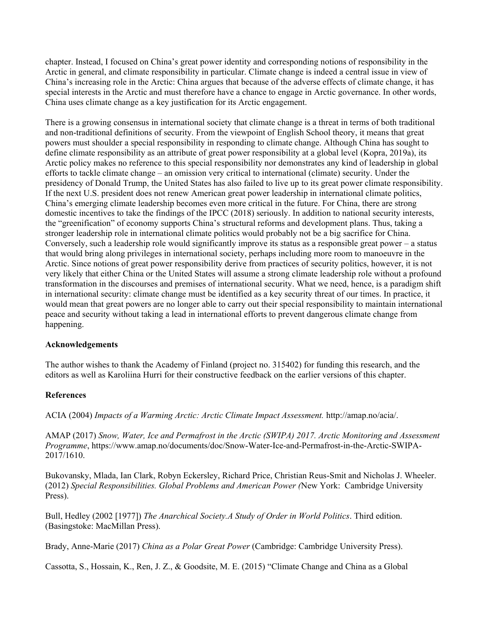chapter. Instead, I focused on China's great power identity and corresponding notions of responsibility in the Arctic in general, and climate responsibility in particular. Climate change is indeed a central issue in view of China's increasing role in the Arctic: China argues that because of the adverse effects of climate change, it has special interests in the Arctic and must therefore have a chance to engage in Arctic governance. In other words, China uses climate change as a key justification for its Arctic engagement.

There is a growing consensus in international society that climate change is a threat in terms of both traditional and non-traditional definitions of security. From the viewpoint of English School theory, it means that great powers must shoulder a special responsibility in responding to climate change. Although China has sought to define climate responsibility as an attribute of great power responsibility at a global level (Kopra, 2019a), its Arctic policy makes no reference to this special responsibility nor demonstrates any kind of leadership in global efforts to tackle climate change – an omission very critical to international (climate) security. Under the presidency of Donald Trump, the United States has also failed to live up to its great power climate responsibility. If the next U.S. president does not renew American great power leadership in international climate politics, China's emerging climate leadership becomes even more critical in the future. For China, there are strong domestic incentives to take the findings of the IPCC (2018) seriously. In addition to national security interests, the "greenification" of economy supports China's structural reforms and development plans. Thus, taking a stronger leadership role in international climate politics would probably not be a big sacrifice for China. Conversely, such a leadership role would significantly improve its status as a responsible great power – a status that would bring along privileges in international society, perhaps including more room to manoeuvre in the Arctic. Since notions of great power responsibility derive from practices of security politics, however, it is not very likely that either China or the United States will assume a strong climate leadership role without a profound transformation in the discourses and premises of international security. What we need, hence, is a paradigm shift in international security: climate change must be identified as a key security threat of our times. In practice, it would mean that great powers are no longer able to carry out their special responsibility to maintain international peace and security without taking a lead in international efforts to prevent dangerous climate change from happening.

## **Acknowledgements**

The author wishes to thank the Academy of Finland (project no. 315402) for funding this research, and the editors as well as Karoliina Hurri for their constructive feedback on the earlier versions of this chapter.

#### **References**

ACIA (2004) *Impacts of a Warming Arctic: Arctic Climate Impact Assessment.* http://amap.no/acia/.

AMAP (2017) *Snow, Water, Ice and Permafrost in the Arctic (SWIPA) 2017. Arctic Monitoring and Assessment Programme*, https://www.amap.no/documents/doc/Snow-Water-Ice-and-Permafrost-in-the-Arctic-SWIPA-2017/1610.

Bukovansky, Mlada, Ian Clark, Robyn Eckersley, Richard Price, Christian Reus-Smit and Nicholas J. Wheeler. (2012) *Special Responsibilities. Global Problems and American Power (*New York: Cambridge University Press).

Bull, Hedley (2002 [1977]) *The Anarchical Society.A Study of Order in World Politics*. Third edition. (Basingstoke: MacMillan Press).

Brady, Anne-Marie (2017) *China as a Polar Great Power* (Cambridge: Cambridge University Press).

Cassotta, S., Hossain, K., Ren, J. Z., & Goodsite, M. E. (2015) "Climate Change and China as a Global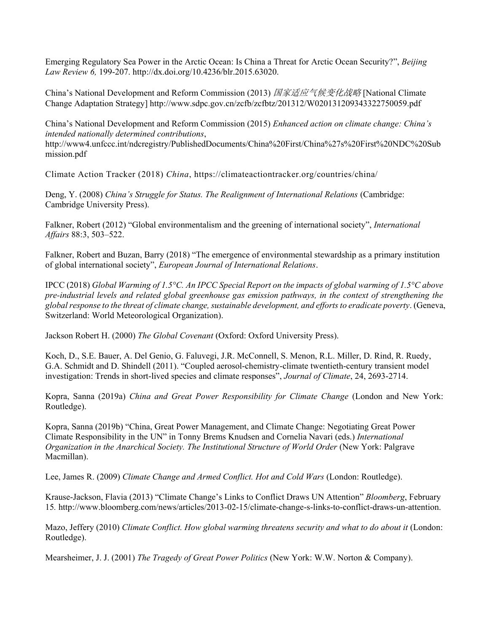Emerging Regulatory Sea Power in the Arctic Ocean: Is China a Threat for Arctic Ocean Security?", *Beijing Law Review 6,* 199-207. http://dx.doi.org/10.4236/blr.2015.63020.

China's National Development and Reform Commission (2013) 国家适应气候变化战略 [National Climate Change Adaptation Strategy] http://www.sdpc.gov.cn/zcfb/zcfbtz/201312/W020131209343322750059.pdf

China's National Development and Reform Commission (2015) *Enhanced action on climate change: China's intended nationally determined contributions*, http://www4.unfccc.int/ndcregistry/PublishedDocuments/China%20First/China%27s%20First%20NDC%20Sub mission.pdf

Climate Action Tracker (2018) *China*, https://climateactiontracker.org/countries/china/

Deng, Y. (2008) *China's Struggle for Status. The Realignment of International Relations* (Cambridge: Cambridge University Press).

Falkner, Robert (2012) "Global environmentalism and the greening of international society", *International Affairs* 88:3, 503–522.

Falkner, Robert and Buzan, Barry (2018) "The emergence of environmental stewardship as a primary institution of global international society", *European Journal of International Relations*.

IPCC (2018) *Global Warming of 1.5°C. An IPCC Special Report on the impacts of global warming of 1.5°C above pre-industrial levels and related global greenhouse gas emission pathways, in the context of strengthening the global response to the threat of climate change, sustainable development, and efforts to eradicate poverty*. (Geneva, Switzerland: World Meteorological Organization).

Jackson Robert H. (2000) *The Global Covenant* (Oxford: Oxford University Press).

Koch, D., S.E. Bauer, A. Del Genio, G. Faluvegi, J.R. McConnell, S. Menon, R.L. Miller, D. Rind, R. Ruedy, G.A. Schmidt and D. Shindell (2011). "Coupled aerosol-chemistry-climate twentieth-century transient model investigation: Trends in short-lived species and climate responses", *Journal of Climate*, 24, 2693-2714.

Kopra, Sanna (2019a) *China and Great Power Responsibility for Climate Change* (London and New York: Routledge).

Kopra, Sanna (2019b) "China, Great Power Management, and Climate Change: Negotiating Great Power Climate Responsibility in the UN" in Tonny Brems Knudsen and Cornelia Navari (eds.) *International Organization in the Anarchical Society. The Institutional Structure of World Order* (New York: Palgrave Macmillan).

Lee, James R. (2009) *Climate Change and Armed Conflict. Hot and Cold Wars* (London: Routledge).

Krause-Jackson, Flavia (2013) "Climate Change's Links to Conflict Draws UN Attention" *Bloomberg*, February 15*.* http://www.bloomberg.com/news/articles/2013-02-15/climate-change-s-links-to-conflict-draws-un-attention.

Mazo, Jeffery (2010) *Climate Conflict. How global warming threatens security and what to do about it* (London: Routledge).

Mearsheimer, J. J. (2001) *The Tragedy of Great Power Politics* (New York: W.W. Norton & Company).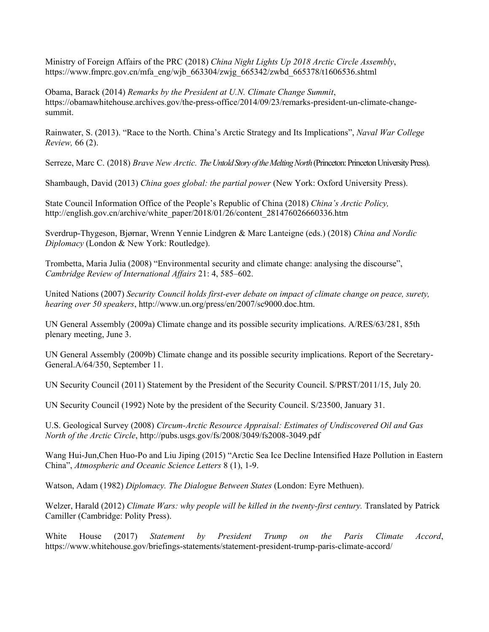Ministry of Foreign Affairs of the PRC (2018) *China Night Lights Up 2018 Arctic Circle Assembly*, https://www.fmprc.gov.cn/mfa\_eng/wjb\_663304/zwjg\_665342/zwbd\_665378/t1606536.shtml

Obama, Barack (2014) *Remarks by the President at U.N. Climate Change Summit*, https://obamawhitehouse.archives.gov/the-press-office/2014/09/23/remarks-president-un-climate-changesummit.

Rainwater, S. (2013). "Race to the North. China's Arctic Strategy and Its Implications", *Naval War College Review,* 66 (2).

Serreze, Marc C. (2018) *Brave New Arctic. The Untold Story of the Melting North* (Princeton: Princeton University Press).

Shambaugh, David (2013) *China goes global: the partial power* (New York: Oxford University Press).

State Council Information Office of the People's Republic of China (2018) *China's Arctic Policy,* http://english.gov.cn/archive/white\_paper/2018/01/26/content\_281476026660336.htm

Sverdrup-Thygeson, Bjørnar, Wrenn Yennie Lindgren & Marc Lanteigne (eds.) (2018) *China and Nordic Diplomacy* (London & New York: Routledge).

Trombetta, Maria Julia (2008) "Environmental security and climate change: analysing the discourse", *Cambridge Review of International Affairs* 21: 4, 585–602.

United Nations (2007) *Security Council holds first-ever debate on impact of climate change on peace, surety, hearing over 50 speakers*, http://www.un.org/press/en/2007/sc9000.doc.htm.

UN General Assembly (2009a) Climate change and its possible security implications. A/RES/63/281, 85th plenary meeting, June 3.

UN General Assembly (2009b) Climate change and its possible security implications. Report of the Secretary-General.A/64/350, September 11.

UN Security Council (2011) Statement by the President of the Security Council. S/PRST/2011/15, July 20.

UN Security Council (1992) Note by the president of the Security Council. S/23500, January 31.

U.S. Geological Survey (2008) *Circum-Arctic Resource Appraisal: Estimates of Undiscovered Oil and Gas North of the Arctic Circle*, http://pubs.usgs.gov/fs/2008/3049/fs2008-3049.pdf

Wang Hui-Jun,Chen Huo-Po and Liu Jiping (2015) "Arctic Sea Ice Decline Intensified Haze Pollution in Eastern China", *Atmospheric and Oceanic Science Letters* 8 (1), 1-9.

Watson, Adam (1982) *Diplomacy. The Dialogue Between States* (London: Eyre Methuen).

Welzer, Harald (2012) *Climate Wars: why people will be killed in the twenty-first century.* Translated by Patrick Camiller (Cambridge: Polity Press).

White House (2017) *Statement by President Trump on the Paris Climate Accord*, https://www.whitehouse.gov/briefings-statements/statement-president-trump-paris-climate-accord/